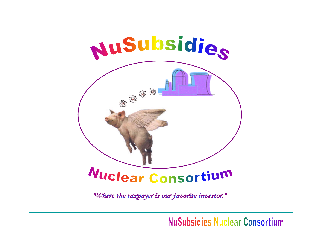

"Where the taxpayer is our favorite investor."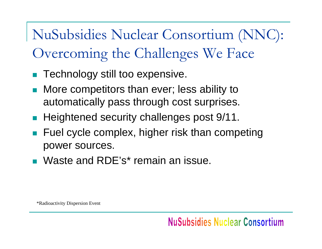NuSubsidies Nuclear Consortium (NNC): Overcoming the Challenges We Face

- F Technology still too expensive.
- $\langle \cdot \rangle$  More competitors than ever; less ability to automatically pass through cost surprises.
- **Heightened security challenges post 9/11.**
- p. Fuel cycle complex, higher risk than competing power sources.
- **Naste and RDE's\* remain an issue.**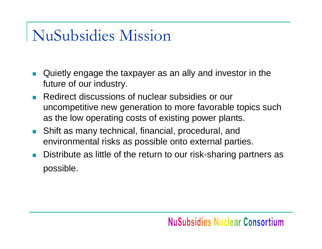### NuSubsidies Mission

- $\Box$  Quietly engage the taxpayer as an ally and investor in the future of our industry.
- $\mathcal{L}^{\mathcal{L}}$  Redirect discussions of nuclear subsidies or our uncompetitive new generation to more favorable topics such as the low operating costs of existing power plants.
- **The Co**  Shift as many technical, financial, procedural, and environmental risks as possible onto external parties.
- $\overline{\phantom{a}}$  Distribute as little of the return to our risk-sharing partners as possible.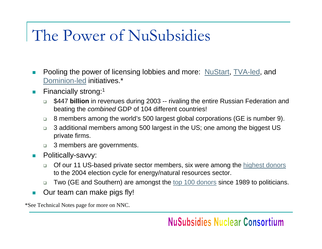## The Power of NuSubsidies

- $\overline{\phantom{a}}$ Pooling the power of licensing lobbies and more: [NuStart](http://www.citizen.org/cmep/energy_enviro_nuclear/nuclear_power_plants/nuclear_revival/col/nustart/index.cfm), [TVA-led](http://www.citizen.org/cmep/energy_enviro_nuclear/nuclear_power_plants/nuclear_revival/col/col2/), and [Dominion-led](http://www.citizen.org/cmep/energy_enviro_nuclear/nuclear_power_plants/nuclear_revival/col/col3/) initiatives.\*
- $\mathcal{C}^{\mathcal{A}}$  Financially strong:1
	- $\Box$  \$447 **billion** in revenues during 2003 -- rivaling the entire Russian Federation and beating the *combined* GDP of 104 different countries!
	- $\Box$ 8 members among the world's 500 largest global corporations (GE is number 9).
	- $\Box$  3 additional members among 500 largest in the US; one among the biggest US private firms.
	- $\Box$ 3 members are governments.
- $\mathcal{C}^{\mathcal{A}}$  Politically-savvy:
	- $\Box$  Of our 11 US-based private sector members, six were among the [highest donors](http://www.opensecrets.org/industries/contrib.asp?Ind=E) to the 2004 election cycle for energy/natural resources sector.
	- $\Box$ Two (GE and Southern) are amongst the [top 100 donors](http://www.opensecrets.org/orgs/list.asp?order=A) since 1989 to politicians.
- $\blacksquare$ Our team can make pigs fly!

\*See Technical Notes page for more on NNC.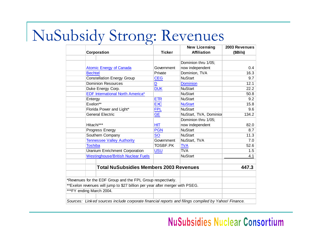## NuSubsidy Strong: Revenues

|                                                                                                     |                                                                               |                         | <b>New Licensing</b>   | 2003 Revenues |  |  |  |  |
|-----------------------------------------------------------------------------------------------------|-------------------------------------------------------------------------------|-------------------------|------------------------|---------------|--|--|--|--|
|                                                                                                     | Corporation                                                                   | <b>Ticker</b>           | <b>Affiliation</b>     | (\$Bils)      |  |  |  |  |
|                                                                                                     |                                                                               |                         |                        |               |  |  |  |  |
|                                                                                                     |                                                                               |                         | Dominion thru 1/05;    |               |  |  |  |  |
|                                                                                                     | <b>Atomic Energy of Canada</b>                                                | Government              | now independent        | 0.4           |  |  |  |  |
|                                                                                                     | <b>Bechtel</b>                                                                | Private                 | Dominion, TVA          | 16.3          |  |  |  |  |
|                                                                                                     | <b>Constellation Energy Group</b>                                             | <b>CEG</b>              | <b>NuStart</b>         | 9.7           |  |  |  |  |
|                                                                                                     | <b>Dominion Resources</b>                                                     | $\overline{\mathsf{D}}$ | <b>Dominion</b>        | 12.1          |  |  |  |  |
|                                                                                                     | Duke Energy Corp.                                                             | <b>DUK</b>              | <b>NuStart</b>         | 22.2          |  |  |  |  |
|                                                                                                     | <b>EDF International North America*</b>                                       |                         | <b>NuStart</b>         | 50.8          |  |  |  |  |
|                                                                                                     | Entergy                                                                       | <b>ETR</b>              | <b>NuStart</b>         | 9.2           |  |  |  |  |
|                                                                                                     | Exelon**                                                                      | <b>EXC</b>              | <b>NuStart</b>         | 15.8          |  |  |  |  |
|                                                                                                     | Florida Power and Light*                                                      | <b>FPL</b>              | <b>NuStart</b>         | 9.6           |  |  |  |  |
|                                                                                                     | <b>General Electric</b>                                                       | <b>GE</b>               | NuStart, TVA, Dominior | 134.2         |  |  |  |  |
|                                                                                                     |                                                                               |                         | Dominion thru 1/05;    |               |  |  |  |  |
|                                                                                                     | Hitachi***                                                                    | НIТ                     | now independent        | 82.0          |  |  |  |  |
|                                                                                                     | Progress Energy                                                               | <b>PGN</b>              | <b>NuStart</b>         | 8.7           |  |  |  |  |
|                                                                                                     | Southern Company                                                              | <b>SO</b>               | <b>NuStart</b>         | 11.3          |  |  |  |  |
|                                                                                                     | <b>Tennessee Valley Authority</b>                                             | Government              | NuStart, TVA           | 7.0           |  |  |  |  |
|                                                                                                     | <b>Toshiba</b>                                                                | TOSBF.PK                | <b>TVA</b>             | 52.6          |  |  |  |  |
|                                                                                                     | <b>Uranium Enrichment Corporation</b>                                         | <b>USU</b>              | <b>TVA</b>             | 1.5           |  |  |  |  |
|                                                                                                     | <b>Westinghouse/British Nuclear Fuels</b>                                     |                         | <b>NuStart</b>         | 4.1           |  |  |  |  |
|                                                                                                     |                                                                               |                         |                        |               |  |  |  |  |
|                                                                                                     | <b>Total NuSubsidies Members 2003 Revenues</b>                                | 447.3                   |                        |               |  |  |  |  |
|                                                                                                     |                                                                               |                         |                        |               |  |  |  |  |
|                                                                                                     | *Revenues for the EDF Group and the FPL Group respectively.                   |                         |                        |               |  |  |  |  |
|                                                                                                     | ** Exelon revenues will jump to \$27 billion per year after merger with PSEG. |                         |                        |               |  |  |  |  |
|                                                                                                     | ***FY ending March 2004.                                                      |                         |                        |               |  |  |  |  |
|                                                                                                     |                                                                               |                         |                        |               |  |  |  |  |
| Sources: Linked sources include corporate financial reports and filings compiled by Yahoo! Finance. |                                                                               |                         |                        |               |  |  |  |  |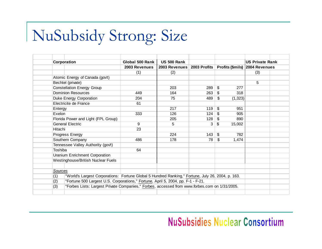# NuSubsidy Strong: Size

| Corporation                                                                                              | Global 500 Rank<br><b>US 500 Rank</b>                                                         |               |     |                       | <b>US Private Rank</b>                        |  |
|----------------------------------------------------------------------------------------------------------|-----------------------------------------------------------------------------------------------|---------------|-----|-----------------------|-----------------------------------------------|--|
|                                                                                                          | 2003 Revenues                                                                                 | 2003 Revenues |     |                       | 2003 Profits   Profits (\$mils) 2004 Revenues |  |
|                                                                                                          | (1)                                                                                           | (2)           |     |                       | (3)                                           |  |
| Atomic Energy of Canada (govt)                                                                           |                                                                                               |               |     |                       |                                               |  |
| Bechtel (private)                                                                                        |                                                                                               |               |     |                       | 5                                             |  |
| <b>Constellation Energy Group</b>                                                                        |                                                                                               | 203           | 289 | $\mathfrak{S}$<br>277 |                                               |  |
| <b>Dominion Resources</b>                                                                                | 449                                                                                           | 164           | 263 | \$<br>318             |                                               |  |
| <b>Duke Energy Corporation</b>                                                                           | 204                                                                                           | 75            | 489 | \$<br>(1, 323)        |                                               |  |
| Electricite de France                                                                                    | 61                                                                                            |               |     |                       |                                               |  |
| Entergy                                                                                                  |                                                                                               | 217           | 119 | $\mathfrak{S}$<br>951 |                                               |  |
| Exelon                                                                                                   | 333                                                                                           | 126           | 124 | 905<br>\$             |                                               |  |
| Florida Power and Light (FPL Group)                                                                      |                                                                                               | 205           | 128 | \$<br>890             |                                               |  |
| <b>General Electric</b>                                                                                  | 9                                                                                             | 5             | 3   | \$<br>15,002          |                                               |  |
| Hitachi                                                                                                  | 23                                                                                            |               |     |                       |                                               |  |
| Progress Energy                                                                                          |                                                                                               | 224           | 143 | \$<br>782             |                                               |  |
| Southern Company                                                                                         | 486                                                                                           | 178           | 78  | \$<br>1,474           |                                               |  |
| Tennessee Valley Authority (gov't)                                                                       |                                                                                               |               |     |                       |                                               |  |
| Toshiba                                                                                                  | 64                                                                                            |               |     |                       |                                               |  |
| <b>Uranium Enrichment Corporation</b>                                                                    |                                                                                               |               |     |                       |                                               |  |
| Westinghouse/British Nuclear Fuels                                                                       |                                                                                               |               |     |                       |                                               |  |
| Sources                                                                                                  |                                                                                               |               |     |                       |                                               |  |
| "World's Largest Corporations: Fortune Global 5 Hundred Ranking," Fortune, July 26, 2004, p. 163.<br>(1) |                                                                                               |               |     |                       |                                               |  |
| "Fortune 500 Largest U.S. Corporations," Fortune, April 5, 2004, pp. F-1 - F-21.<br>(2)                  |                                                                                               |               |     |                       |                                               |  |
| (3)                                                                                                      | "Forbes Lists: Largest Private Companies," Forbes, accessed from www.forbes.com on 1/31/2005. |               |     |                       |                                               |  |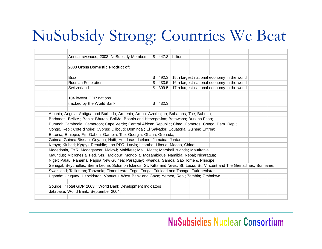# NuSubsidy Strong: Countries We Beat

|                                                                           | Annual revenues, 2003, NuSubsidy Members                                                                                      |                |    | \$447.3 | billion                                    |                                            |  |  |  |
|---------------------------------------------------------------------------|-------------------------------------------------------------------------------------------------------------------------------|----------------|----|---------|--------------------------------------------|--------------------------------------------|--|--|--|
|                                                                           |                                                                                                                               |                |    |         |                                            |                                            |  |  |  |
|                                                                           | 2003 Gross Domestic Product of:                                                                                               |                |    |         |                                            |                                            |  |  |  |
|                                                                           | <b>Brazil</b>                                                                                                                 |                | \$ | 492.3   |                                            | 15th largest national economy in the world |  |  |  |
|                                                                           | <b>Russian Federation</b>                                                                                                     | $\mathfrak{L}$ |    | 433.5   | 16th largest national economy in the world |                                            |  |  |  |
|                                                                           | Switzerland                                                                                                                   |                |    | \$309.5 |                                            | 17th largest national economy in the world |  |  |  |
|                                                                           | 104 lowest GDP nations                                                                                                        |                |    |         |                                            |                                            |  |  |  |
|                                                                           | tracked by the World Bank                                                                                                     |                |    | \$432.3 |                                            |                                            |  |  |  |
|                                                                           | Albania; Angola; Antigua and Barbuda; Armenia; Aruba; Azerbaijan; Bahamas, The; Bahrain;                                      |                |    |         |                                            |                                            |  |  |  |
|                                                                           | Barbados; Belize; Benin; Bhutan; Bolivia; Bosnia and Herzegovina; Botswana; Burkina Faso;                                     |                |    |         |                                            |                                            |  |  |  |
|                                                                           | Burundi; Cambodia; Cameroon; Cape Verde; Central African Republic; Chad; Comoros; Congo, Dem. Rep.;                           |                |    |         |                                            |                                            |  |  |  |
|                                                                           | Congo, Rep.; Cote d'Ivoire; Cyprus; Djibouti; Dominca; El Salvador; Equatorial Guinea; Eritrea;                               |                |    |         |                                            |                                            |  |  |  |
| Estonia; Ethiopia; Fiji; Gabon; Gambia, The; Georgia; Ghana; Grenada;     |                                                                                                                               |                |    |         |                                            |                                            |  |  |  |
| Guinea; Guinea-Bissau; Guyana; Haiti; Honduras; Iceland; Jamaica; Jordan; |                                                                                                                               |                |    |         |                                            |                                            |  |  |  |
|                                                                           | Kenya; Kiribati; Kyrgyz Republic; Lao PDR; Latvia; Lesotho; Liberia; Macao, China;                                            |                |    |         |                                            |                                            |  |  |  |
|                                                                           | Macedonia, FYR; Madagascar; Malawi; Maldives; Mali; Malta; Marshall Islands; Mauritania;                                      |                |    |         |                                            |                                            |  |  |  |
|                                                                           | Mauritius; Micronesia, Fed. Sts.; Moldova; Mongolia; Mozambique; Namibia; Nepal; Nicaragua;                                   |                |    |         |                                            |                                            |  |  |  |
|                                                                           | Niger; Palau; Panama; Papua New Guinea; Paraguay; Rwanda; Samoa; Sao Tome & Principe;                                         |                |    |         |                                            |                                            |  |  |  |
|                                                                           | Senegal; Seychelles; Sierra Leone; Solomon Islands; St. Kitts and Nevis; St. Lucia; St. Vincent and The Grenadines; Suriname; |                |    |         |                                            |                                            |  |  |  |
|                                                                           | Swaziland; Tajikistan; Tanzania; Timor-Leste; Togo; Tonga; Trinidad and Tobago; Turkmenistan;                                 |                |    |         |                                            |                                            |  |  |  |
|                                                                           | Uganda; Uruguay; Uzbekistan; Vanuatu; West Bank and Gaza; Yemen, Rep.; Zambia; Zimbabwe                                       |                |    |         |                                            |                                            |  |  |  |
|                                                                           | Source: "Total GDP 2003," World Bank Development Indicators                                                                   |                |    |         |                                            |                                            |  |  |  |
|                                                                           | database, World Bank, September 2004.                                                                                         |                |    |         |                                            |                                            |  |  |  |
|                                                                           |                                                                                                                               |                |    |         |                                            |                                            |  |  |  |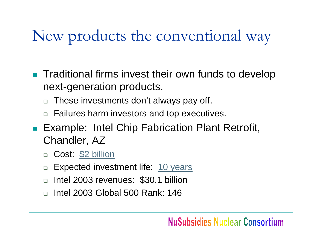# New products the conventional way

- F Traditional firms invest their own funds to develop next-generation products.
	- $\Box$ These investments don't always pay off.
	- □ Failures harm investors and top executives.
- **Example: Intel Chip Fabrication Plant Retrofit,** Chandler, AZ
	- $\Box$ Cost: [\\$2 billion](http://www.intel.com/pressroom/archive/releases/20040421corp_a.htm)
	- $\Box$ Expected investment life: [10 years](http://www.intel.com/pressroom/kits/manufacturing/manufacturing_qa.htm)
	- $\Box$ Intel 2003 revenues: \$30.1 billion
	- $\Box$ Intel 2003 Global 500 Rank: 146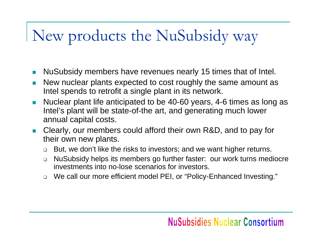# New products the NuSubsidy way

- $\sim$ NuSubsidy members have revenues nearly 15 times that of Intel.
- $\mathcal{L}_{\mathcal{A}}$  New nuclear plants expected to cost roughly the same amount as Intel spends to retrofit a single plant in its network.
- $\overline{\phantom{a}}$  Nuclear plant life anticipated to be 40-60 years, 4-6 times as long as Intel's plant will be state-of-the art, and generating much lower annual capital costs.
- **College**  Clearly, our members could afford their own R&D, and to pay for their own new plants.
	- $\Box$ But, we don't like the risks to investors; and we want higher returns.
	- $\Box$  NuSubsidy helps its members go further faster: our work turns mediocre investments into no-lose scenarios for investors.
	- We call our more efficient model PEI, or "Policy-Enhanced Investing."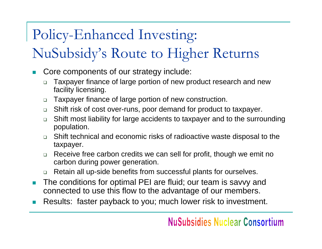### Policy-Enhanced Investing:

### NuSubsidy's Route to Higher Returns

- p. Core components of our strategy include:
	- $\Box$  Taxpayer finance of large portion of new product research and new facility licensing.
	- $\Box$ Taxpayer finance of large portion of new construction.
	- $\Box$ Shift risk of cost over-runs, poor demand for product to taxpayer.
	- $\Box$  Shift most liability for large accidents to taxpayer and to the surrounding population.
	- $\Box$  Shift technical and economic risks of radioactive waste disposal to the taxpayer.
	- $\Box$  Receive free carbon credits we can sell for profit, though we emit no carbon during power generation.
	- $\Box$ Retain all up-side benefits from successful plants for ourselves.
- **College**  The conditions for optimal PEI are fluid; our team is savvy and connected to use this flow to the advantage of our members.
- F Results: faster payback to you; much lower risk to investment.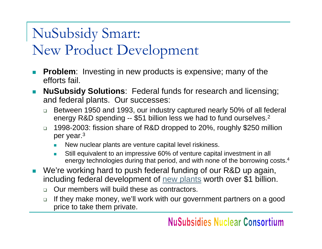### NuSubsidy Smart: New Product Development

- $\mathcal{L}^{\mathcal{L}}$  **Problem**: Investing in new products is expensive; many of the efforts fail.
- $\Box$  **NuSubsidy Solutions**: Federal funds for research and licensing; and federal plants. Our successes:
	- $\Box$  Between 1950 and 1993, our industry captured nearly 50% of all federal energy R&D spending -- \$51 billion less we had to fund ourselves. $^{\mathsf{2}}$
	- □ 1998-2003: fission share of R&D dropped to 20%, roughly \$250 million per year.<sup>3</sup>
		- П New nuclear plants are venture capital level riskiness.
		- F Still equivalent to an impressive 60% of venture capital investment in all energy technologies during that period, and with none of the borrowing costs. 4
- We're working hard to push federal funding of our R&D up again, including federal development of [new plants](http://www.ne.doe.gov/home/11-09-04.html) worth over \$1 billion.
	- $\Box$ Our members will build these as contractors.
	- $\Box$  If they make money, we'll work with our government partners on a good price to take them private.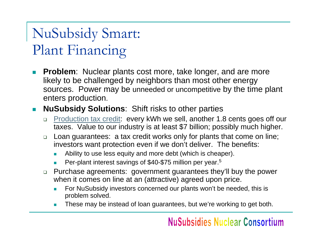### NuSubsidy Smart: Plant Financing

- $\mathcal{L}_{\mathcal{A}}$  **Problem**: Nuclear plants cost more, take longer, and are more likely to be challenged by neighbors than most other energy sources. Power may be unneeded or uncompetitive by the time plant enters production.
- **NuSubsidy Solutions**: Shift risks to other parties
	- $\Box$  [Production tax credit](http://www.earthtrack.net/earthtrack/library/HR6_NukeTaxCredit.doc): every kWh we sell, another 1.8 cents goes off our taxes. Value to our industry is at least \$7 billion; possibly much higher.
	- □ Loan guarantees: a tax credit works only for plants that come on line; investors want protection even if we don't deliver. The benefits:
		- F Ability to use less equity and more debt (which is cheaper).
		- $\overline{\phantom{a}}$ ■ Per-plant interest savings of \$40-\$75 million per year.<sup>5</sup>
	- □ Purchase agreements: government guarantees they'll buy the power when it comes on line at an (attractive) agreed upon price.
		- П For NuSubsidy investors concerned our plants won't be needed, this is problem solved.
		- П These may be instead of loan guarantees, but we're working to get both.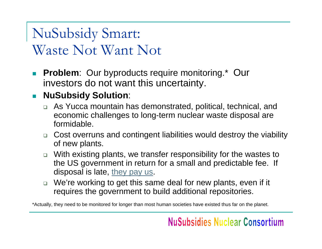### NuSubsidy Smart: Waste Not Want Not

 $\Box$  **Problem**: Our byproducts require monitoring.\* Our investors do not want this uncertainty.

#### **NuSubsidy Solution**:

- As Yucca mountain has demonstrated, political, technical, and economic challenges to long-term nuclear waste disposal are formidable.
- □ Cost overruns and contingent liabilities would destroy the viability of new plants.
- □ With existing plants, we transfer responsibility for the wastes to the US government in return for a small and predictable fee. If disposal is late, [they pay us](http://www.electricityforum.com/news/aug04/usnuclearwaste.html).
- □ We're working to get this same deal for new plants, even if it requires the government to build additional repositories.

\*Actually, they need to be monitored for longer than most human societies have existed thus far on the planet.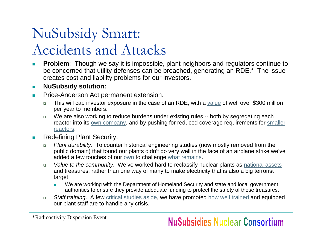### NuSubsidy Smart: Accidents and Attacks

- $\mathcal{C}^{\mathcal{A}}$ **Problem:** Though we say it is impossible, plant neighbors and regulators continue to be concerned that utility defenses can be breached, generating an RDE.\* The issue creates cost and liability problems for our investors.
- $\mathcal{L}_{\mathcal{A}}$ **NuSubsidy solution:**
- **In**  Price-Anderson Act permanent extension.
	- $\Box$  This will cap investor exposure in the case of an RDE, with a [value](http://www.cato.org/pubs/regulation/regv25n4/v25n4-8.pdf) of well over \$300 million per year to members.
	- $\Box$ We are also working to reduce burdens under existing rules -- both by segregating each reactor into its [own company](http://www.synapse-energy.com/Downloads/report-star-riverkeeper-fin-insecurity.pdf)[, and by pushing for reduced coverage requirements for smaller](http://www.earthtrack.net/earthtrack/library/HR6_TitleVI_ Nuclear Matters_v031118.doc)  [reactors.](http://www.earthtrack.net/earthtrack/library/HR6_TitleVI_ Nuclear Matters_v031118.doc)
- **COL**  Redefining Plant Security.
	- $\Box$  *Plant durability*. To counter historical engineering studies (now mostly removed from the public domain) that found our plants didn't do very well in the face of an airplane strike we've added a few touches of our <u>own</u> to challenge <u>[what](http://www.nirs.org/reactorwatch/security/securityhome.htm) [remains](http://www.neis.org/literature/Reports&Testimonies/full_terrorist_report_10-22-01.htm#vulnerability)</u>.
	- $\Box$  *Value to the community*. We've worked hard to reclassify nuclear plants as [national assets](http://www.nei.org/index.asp?catnum=4&catid=722) and treasures, rather than one way of many to make electricity that is also a big terrorist target.
		- We are working with the Department of Homeland Security and state and local government authorities to ensure they provide adequate funding to protect the safety of these treasures.
	- $\Box$  *Staff training*. A few [critical studies](http://www.pogo.org/p/environment/eo-020901-nukepower.html) [aside](http://www.oxfordresearchgroup.org.uk/publications/CDRs/LargeandSchneider.pdf), we have promoted [how well trained](http://www.nei.org/index.asp?catnum=2&catid=277) and equipped our plant staff are to handle any crisis.

\*Radioactivity Dispersion Event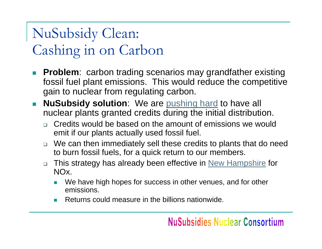### NuSubsidy Clean: Cashing in on Carbon

- $\mathcal{L}_{\mathcal{A}}$  **Problem**: carbon trading scenarios may grandfather existing fossil fuel plant emissions. This would reduce the competitive gain to nuclear from regulating carbon.
- **NuSubsidy solution**: We are [pushing hard](http://www.energybulletin.net/3635.html) to have all nuclear plants granted credits during the initial distribution.
	- □ Credits would be based on the amount of emissions we would emit if our plants actually used fossil fuel.
	- □ We can then immediately sell these credits to plants that do need to burn fossil fuels, for a quick return to our members.
	- □ This strategy has already been effective in <u>[New Hampshire](http://www.energybulletin.net/3635.html)</u> for NOx.
		- F We have high hopes for success in other venues, and for other emissions.
		- × Returns could measure in the billions nationwide.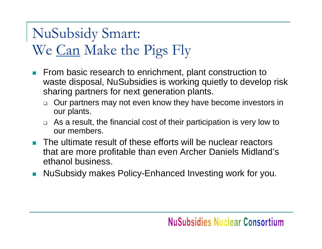### NuSubsidy Smart: We Can Make the Pigs Fly

- $\mathcal{L}_{\mathcal{A}}$  From basic research to enrichment, plant construction to waste disposal, NuSubsidies is working quietly to develop risk sharing partners for next generation plants.
	- $\Box$  Our partners may not even know they have become investors in our plants.
	- □ As a result, the financial cost of their participation is very low to our members.
- **The ultimate result of these efforts will be nuclear reactors** that are more profitable than even Archer Daniels Midland's ethanol business.
- F NuSubsidy makes Policy-Enhanced Investing work for you.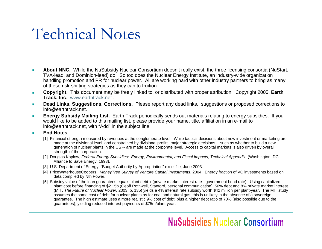### Technical Notes

- **About NNC.** While the NuSubsidy Nuclear Consortium doesn't really exist, the three licensing consortia (NuStart, TVA-lead, and Dominion-lead) do. So too does the Nuclear Energy Institute, an industry-wide organization handling promotion and PR for nuclear power. All are working hard with other industry partners to bring as many of these risk-shifting strategies as they can to fruition.
- ٠ ■ **Copyright**. This document may be freely linked to, or distributed with proper attribution. Copyright 2005, Earth **Track, Inc**., [www.earthtrack.net](http://www.earthtrack.net/) .
- п **Dead Links, Suggestions, Corrections.** Please report any dead links, suggestions or proposed corrections to info@earthtrack.net.
- $\mathbf{r}$  **Energy Subsidy Mailing List.** Earth Track periodically sends out materials relating to energy subsidies. If you would like to be added to this mailing list, please provide your name, title, affiliation in an e-mail to info@earthtrack.net, with "Add" in the subject line.

#### **End Notes**.

- [1] Financial strength measured by revenues at the conglomerate level. While tactical decisions about new investment or marketing are made at the divisional level, and constrained by divisional profits, major strategic decisions -- such as whether to build a new generation of nuclear plants in the US -- are made at the corporate level. Access to capital markets is also driven by overall strength of the corporation.
- [2] Douglas Koplow, *Federal Energy Subsidies: Energy, Environmental, and Fiscal Impacts, Technical Appendix*, (Washington, DC: Alliance to Save Energy, 1993).
- [3] U.S. Department of Energy, "Budget Authority by Appropriation" excel file, June 2003.
- [4] PriceWaterhouseCoopers. *MoneyTree Survey of Venture Capital Investments*, 2004. Energy fraction of VC investments based on data compiled by Nth Power.
- [5] Subsidy value of the loan guarantees equals plant debt x (private market interest rate government bond rate). Using capitalized plant cost before financing of \$2.15b (Geoff Rothwell, Stanford, personal communication), 50% debt and 8% private market interest (MIT, *The Future of Nuclear Power,* 2003, p. 135) yields a 4% interest rate subsidy worth \$42 million per plant-year. The MIT study assumes the same cost of debt for nuclear plants as for coal and natural gas; this is unlikely in the absence of a sovereign guarantee. The high estimate uses a more realistic 9% cost of debt, plus a higher debt ratio of 70% (also possible due to the guarantees), yielding reduced interest payments of \$75m/plant-year.